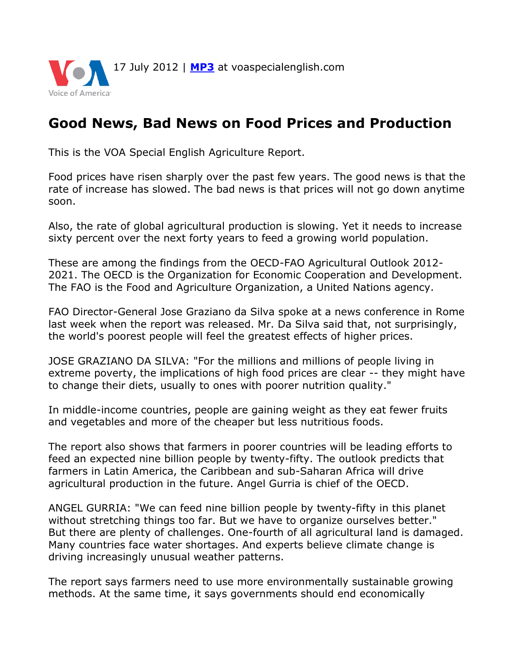

## **Good News, Bad News on Food Prices and Production**

This is the VOA Special English Agriculture Report.

Food prices have risen sharply over the past few years. The good news is that the rate of increase has slowed. The bad news is that prices will not go down anytime soon.

Also, the rate of global agricultural production is slowing. Yet it needs to increase sixty percent over the next forty years to feed a growing world population.

These are among the findings from the OECD-FAO Agricultural Outlook 2012- 2021. The OECD is the Organization for Economic Cooperation and Development. The FAO is the Food and Agriculture Organization, a United Nations agency.

FAO Director-General Jose Graziano da Silva spoke at a news conference in Rome last week when the report was released. Mr. Da Silva said that, not surprisingly, the world's poorest people will feel the greatest effects of higher prices.

JOSE GRAZIANO DA SILVA: "For the millions and millions of people living in extreme poverty, the implications of high food prices are clear -- they might have to change their diets, usually to ones with poorer nutrition quality."

In middle-income countries, people are gaining weight as they eat fewer fruits and vegetables and more of the cheaper but less nutritious foods.

The report also shows that farmers in poorer countries will be leading efforts to feed an expected nine billion people by twenty-fifty. The outlook predicts that farmers in Latin America, the Caribbean and sub-Saharan Africa will drive agricultural production in the future. Angel Gurria is chief of the OECD.

ANGEL GURRIA: "We can feed nine billion people by twenty-fifty in this planet without stretching things too far. But we have to organize ourselves better." But there are plenty of challenges. One-fourth of all agricultural land is damaged. Many countries face water shortages. And experts believe climate change is driving increasingly unusual weather patterns.

The report says farmers need to use more environmentally sustainable growing methods. At the same time, it says governments should end economically